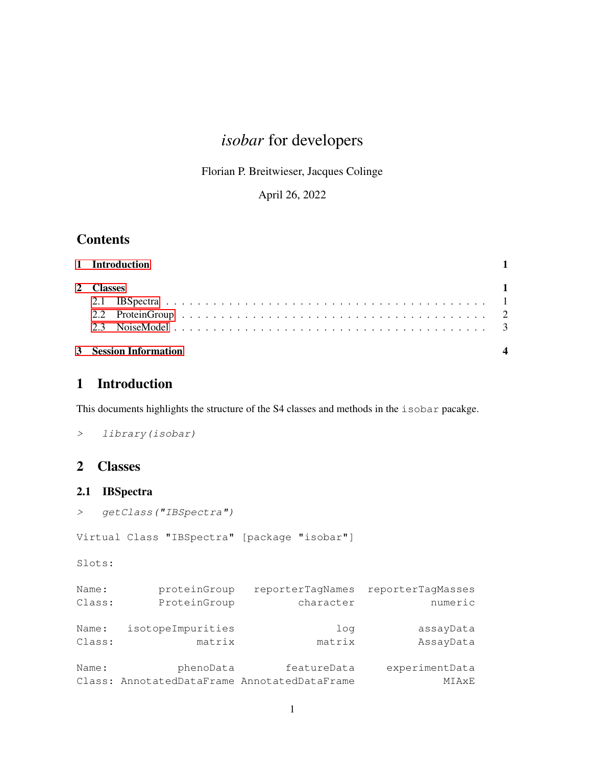# *isobar* for developers

Florian P. Breitwieser, Jacques Colinge

April 26, 2022

## **Contents**

| 1 Introduction |                       |  |  |  |
|----------------|-----------------------|--|--|--|
|                | 2 Classes             |  |  |  |
|                |                       |  |  |  |
|                |                       |  |  |  |
|                |                       |  |  |  |
|                | 3 Session Information |  |  |  |

# <span id="page-0-0"></span>1 Introduction

This documents highlights the structure of the S4 classes and methods in the isobar pacakge.

> library(isobar)

### <span id="page-0-1"></span>2 Classes

### <span id="page-0-2"></span>2.1 IBSpectra

| >               | qetClass("IBSpectra")                                     |                               |                              |
|-----------------|-----------------------------------------------------------|-------------------------------|------------------------------|
|                 | Virtual Class "IBSpectra" [package "isobar"]              |                               |                              |
| Slots:          |                                                           |                               |                              |
| Name:<br>Class: | proteinGroup<br>ProteinGroup                              | reporterTaqNames<br>character | reporterTagMasses<br>numeric |
| Name:<br>Class: | isotopeImpurities<br>matrix                               | log<br>matrix                 | assayData<br>AssayData       |
| Name:           | phenoData<br>Class: AnnotatedDataFrame AnnotatedDataFrame | featureData                   | experimentData<br>MIAxE      |
|                 |                                                           |                               |                              |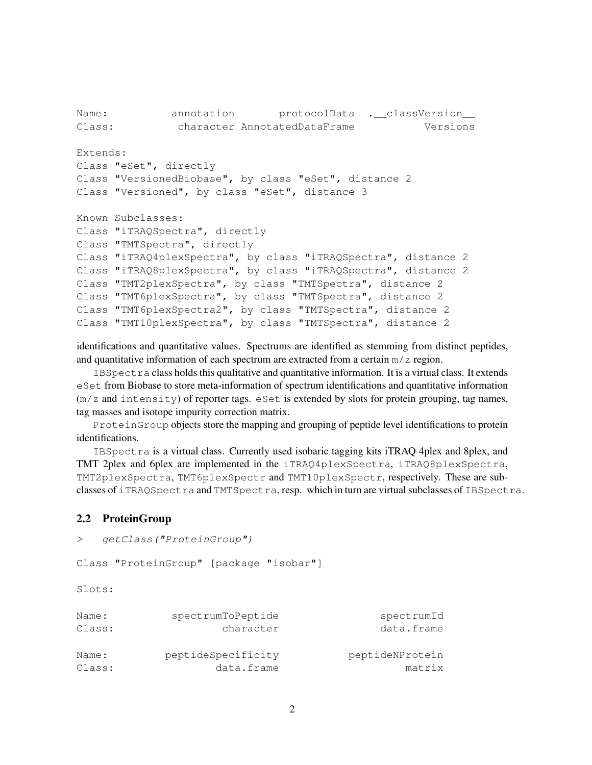```
Name: annotation protocolData .__classVersion_
Class: character AnnotatedDataFrame Versions
Extends:
Class "eSet", directly
Class "VersionedBiobase", by class "eSet", distance 2
Class "Versioned", by class "eSet", distance 3
Known Subclasses:
Class "iTRAQSpectra", directly
Class "TMTSpectra", directly
Class "iTRAQ4plexSpectra", by class "iTRAQSpectra", distance 2
Class "iTRAQ8plexSpectra", by class "iTRAQSpectra", distance 2
Class "TMT2plexSpectra", by class "TMTSpectra", distance 2
Class "TMT6plexSpectra", by class "TMTSpectra", distance 2
Class "TMT6plexSpectra2", by class "TMTSpectra", distance 2
Class "TMT10plexSpectra", by class "TMTSpectra", distance 2
```
identifications and quantitative values. Spectrums are identified as stemming from distinct peptides, and quantitative information of each spectrum are extracted from a certain  $m/z$  region.

 $IBSpectra$  class holds this qualitative and quantitative information. It is a virtual class. It extends eSet from Biobase to store meta-information of spectrum identifications and quantitative information  $(m/z)$  and intensity) of reporter tags. eSet is extended by slots for protein grouping, tag names, tag masses and isotope impurity correction matrix.

ProteinGroup objects store the mapping and grouping of peptide level identifications to protein identifications.

IBSpectra is a virtual class. Currently used isobaric tagging kits iTRAQ 4plex and 8plex, and TMT 2plex and 6plex are implemented in the iTRAQ4plexSpectra, iTRAQ8plexSpectra, TMT2plexSpectra, TMT6plexSpectr and TMT10plexSpectr, respectively. These are subclasses of iTRAQSpectra and TMTSpectra, resp. which in turn are virtual subclasses of IBSpectra.

#### <span id="page-1-0"></span>2.2 ProteinGroup

```
> getClass("ProteinGroup")
```

```
Class "ProteinGroup" [package "isobar"]
```
Slots:

| Name:  | spectrumToPeptide  | spectrumId      |
|--------|--------------------|-----------------|
| Class: | character          | data.frame      |
| Name:  | peptideSpecificity | peptideNProtein |
| Class: | data.frame         | matrix          |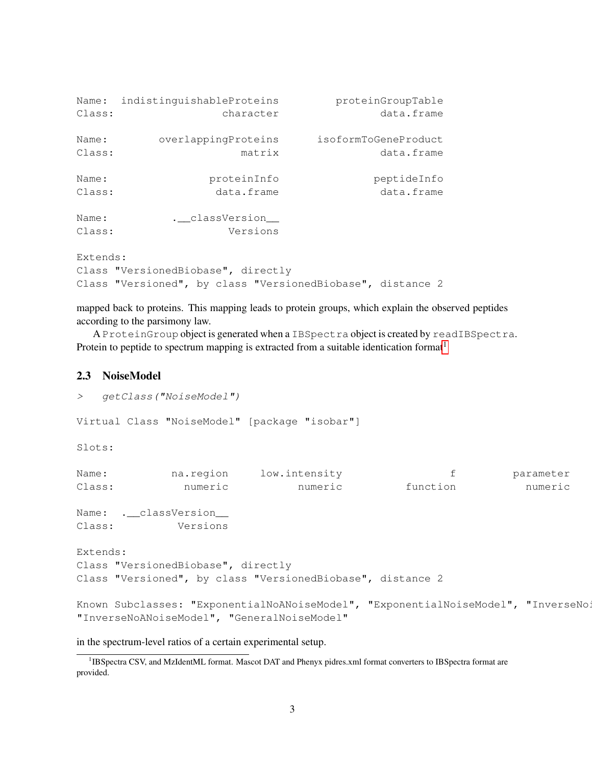```
Name: indistinguishableProteins proteinGroupTable
Class: character data.frame
Name: overlappingProteins isoformToGeneProduct
Class: matrix data.frame
Name: proteinInfo peptideInfo
Class: data.frame data.frame
Name: .__classVersion__
Class: Versions
Extends:
Class "VersionedBiobase", directly
Class "Versioned", by class "VersionedBiobase", distance 2
```
mapped back to proteins. This mapping leads to protein groups, which explain the observed peptides according to the parsimony law.

A ProteinGroup object is generated when a IBSpectra object is created by readIBSpectra. Protein to peptide to spectrum mapping is extracted from a suitable identication format<sup>[1](#page-2-1)</sup>

#### <span id="page-2-0"></span>2.3 NoiseModel

```
> getClass("NoiseModel")
Virtual Class "NoiseModel" [package "isobar"]
Slots:
Name: ha.region low.intensity https://www.file.com/mathemater/
Class: numeric numeric function numeric
Name: .__classVersion__
Class: Versions
Extends:
Class "VersionedBiobase", directly
Class "Versioned", by class "VersionedBiobase", distance 2
Known Subclasses: "ExponentialNoANoiseModel", "ExponentialNoiseModel", "InverseNo:
"InverseNoANoiseModel", "GeneralNoiseModel"
```
in the spectrum-level ratios of a certain experimental setup.

<span id="page-2-1"></span><sup>&</sup>lt;sup>1</sup>IBSpectra CSV, and MzIdentML format. Mascot DAT and Phenyx pidres.xml format converters to IBSpectra format are provided.